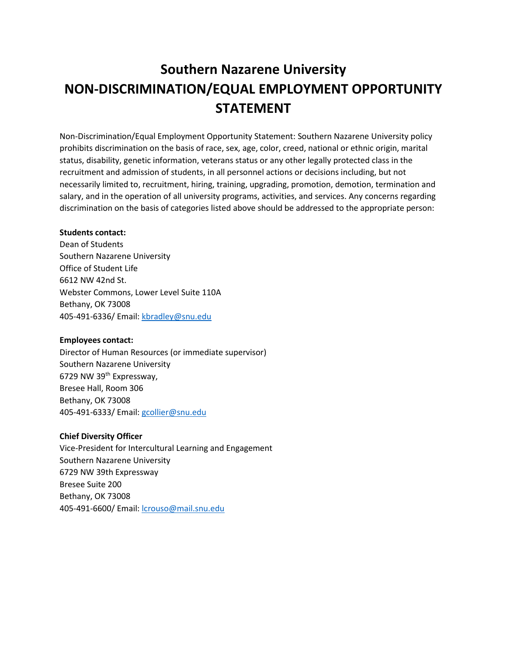# **Southern Nazarene University NON-DISCRIMINATION/EQUAL EMPLOYMENT OPPORTUNITY STATEMENT**

Non-Discrimination/Equal Employment Opportunity Statement: Southern Nazarene University policy prohibits discrimination on the basis of race, sex, age, color, creed, national or ethnic origin, marital status, disability, genetic information, veterans status or any other legally protected class in the recruitment and admission of students, in all personnel actions or decisions including, but not necessarily limited to, recruitment, hiring, training, upgrading, promotion, demotion, termination and salary, and in the operation of all university programs, activities, and services. Any concerns regarding discrimination on the basis of categories listed above should be addressed to the appropriate person:

## **Students contact:**

Dean of Students Southern Nazarene University Office of Student Life 6612 NW 42nd St. Webster Commons, Lower Level Suite 110A Bethany, OK 73008 405-491-6336/ Email: [kbradley@snu.edu](mailto:kbradley@snu.edu)

## **Employees contact:**

Director of Human Resources (or immediate supervisor) Southern Nazarene University 6729 NW 39th Expressway, Bresee Hall, Room 306 Bethany, OK 73008 405-491-6333/ Email: [gcollier@snu.edu](mailto:gcollier@snu.edu)

## **Chief Diversity Officer**

Vice-President for Intercultural Learning and Engagement Southern Nazarene University 6729 NW 39th Expressway Bresee Suite 200 Bethany, OK 73008 405-491-6600/ Email: [lcrouso@mail.snu.edu](mailto:lcrouso@mail.snu.edu)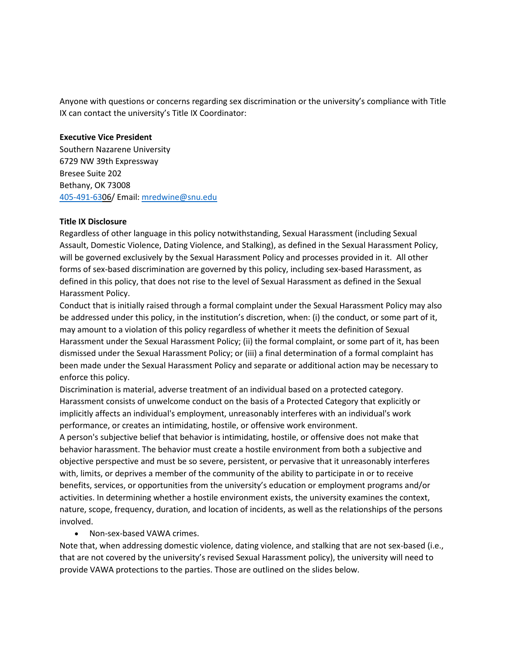Anyone with questions or concerns regarding sex discrimination or the university's compliance with Title IX can contact the university's Title IX Coordinator:

#### **Executive Vice President**

Southern Nazarene University 6729 NW 39th Expressway Bresee Suite 202 Bethany, OK 73008 [405-491-630](tel:(405)%20491-6333)6/ Email: [mredwine@snu.edu](mailto:mredwine@snu.edu)

## **Title IX Disclosure**

Regardless of other language in this policy notwithstanding, Sexual Harassment (including Sexual Assault, Domestic Violence, Dating Violence, and Stalking), as defined in the Sexual Harassment Policy, will be governed exclusively by the Sexual Harassment Policy and processes provided in it. All other forms of sex-based discrimination are governed by this policy, including sex-based Harassment, as defined in this policy, that does not rise to the level of Sexual Harassment as defined in the Sexual Harassment Policy.

Conduct that is initially raised through a formal complaint under the Sexual Harassment Policy may also be addressed under this policy, in the institution's discretion, when: (i) the conduct, or some part of it, may amount to a violation of this policy regardless of whether it meets the definition of Sexual Harassment under the Sexual Harassment Policy; (ii) the formal complaint, or some part of it, has been dismissed under the Sexual Harassment Policy; or (iii) a final determination of a formal complaint has been made under the Sexual Harassment Policy and separate or additional action may be necessary to enforce this policy.

Discrimination is material, adverse treatment of an individual based on a protected category. Harassment consists of unwelcome conduct on the basis of a Protected Category that explicitly or implicitly affects an individual's employment, unreasonably interferes with an individual's work performance, or creates an intimidating, hostile, or offensive work environment.

A person's subjective belief that behavior is intimidating, hostile, or offensive does not make that behavior harassment. The behavior must create a hostile environment from both a subjective and objective perspective and must be so severe, persistent, or pervasive that it unreasonably interferes with, limits, or deprives a member of the community of the ability to participate in or to receive benefits, services, or opportunities from the university's education or employment programs and/or activities. In determining whether a hostile environment exists, the university examines the context, nature, scope, frequency, duration, and location of incidents, as well as the relationships of the persons involved.

## • Non-sex-based VAWA crimes.

Note that, when addressing domestic violence, dating violence, and stalking that are not sex-based (i.e., that are not covered by the university's revised Sexual Harassment policy), the university will need to provide VAWA protections to the parties. Those are outlined on the slides below.